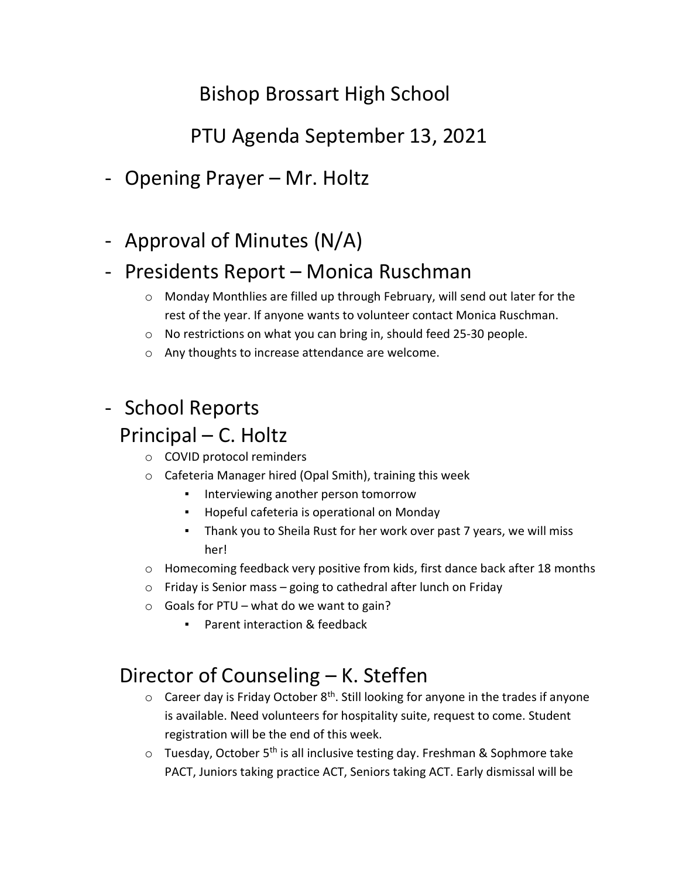## Bishop Brossart High School

### PTU Agenda September 13, 2021

- Opening Prayer Mr. Holtz
- Approval of Minutes (N/A)

#### - Presidents Report – Monica Ruschman

- $\circ$  Monday Monthlies are filled up through February, will send out later for the rest of the year. If anyone wants to volunteer contact Monica Ruschman.
- o No restrictions on what you can bring in, should feed 25-30 people.
- o Any thoughts to increase attendance are welcome.

# - School Reports Principal – C. Holtz

- o COVID protocol reminders
- o Cafeteria Manager hired (Opal Smith), training this week
	- Interviewing another person tomorrow
	- Hopeful cafeteria is operational on Monday
	- Thank you to Sheila Rust for her work over past 7 years, we will miss her!
- $\circ$  Homecoming feedback very positive from kids, first dance back after 18 months
- $\circ$  Friday is Senior mass going to cathedral after lunch on Friday
- $\circ$  Goals for PTU what do we want to gain?
	- Parent interaction & feedback

# Director of Counseling – K. Steffen

- $\circ$  Career day is Friday October 8<sup>th</sup>. Still looking for anyone in the trades if anyone is available. Need volunteers for hospitality suite, request to come. Student registration will be the end of this week.
- $\circ$  Tuesday, October 5<sup>th</sup> is all inclusive testing day. Freshman & Sophmore take PACT, Juniors taking practice ACT, Seniors taking ACT. Early dismissal will be